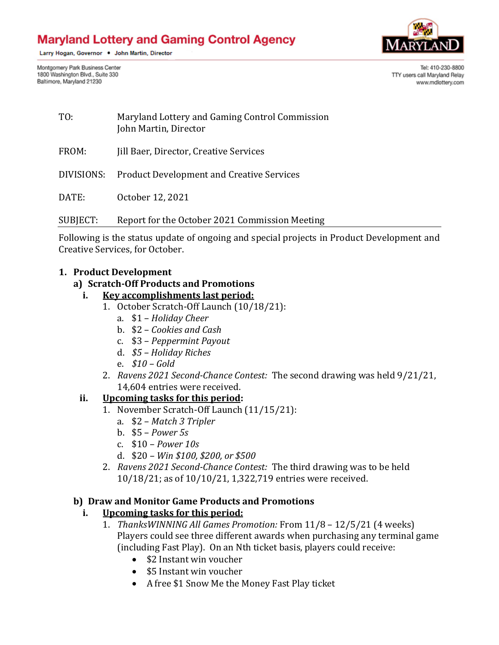# **Maryland Lottery and Gaming Control Agency**

Larry Hogan, Governor . John Martin, Director



Montgomery Park Business Center 1800 Washington Blvd., Suite 330 Baltimore, Maryland 21230

Tel: 410-230-8800 TTY users call Maryland Relay www.mdlottery.com

| TO: | Maryland Lottery and Gaming Control Commission |
|-----|------------------------------------------------|
|     | John Martin, Director                          |

FROM: Jill Baer, Director, Creative Services

DIVISIONS: Product Development and Creative Services

DATE: October 12, 2021

SUBJECT: Report for the October 2021 Commission Meeting

Following is the status update of ongoing and special projects in Product Development and Creative Services, for October.

#### **1. Product Development**

#### **a) Scratch-Off Products and Promotions**

- **i. Key accomplishments last period:**
	- 1. October Scratch-Off Launch (10/18/21):
		- a. \$1 *Holiday Cheer*
		- b. \$2 *Cookies and Cash*
		- c. \$3 *Peppermint Payout*
		- d. *\$5 – Holiday Riches*
		- e. *\$10 – Gold*
		- 2. *Ravens 2021 Second-Chance Contest:* The second drawing was held 9/21/21, 14,604 entries were received.

## **ii. Upcoming tasks for this period:**

- 1. November Scratch-Off Launch (11/15/21):
	- a. \$2 *Match 3 Tripler*
	- b. \$5 *Power 5s*
	- c. \$10 *Power 10s*
	- d. \$20 *– Win \$100, \$200, or \$500*
- 2. *Ravens 2021 Second-Chance Contest:* The third drawing was to be held 10/18/21; as of 10/10/21, 1,322,719 entries were received.

## **b) Draw and Monitor Game Products and Promotions**

## **i. Upcoming tasks for this period:**

- 1. *ThanksWINNING All Games Promotion:* From 11/8 12/5/21 (4 weeks) Players could see three different awards when purchasing any terminal game (including Fast Play). On an Nth ticket basis, players could receive:
	- \$2 Instant win voucher
	- \$5 Instant win voucher
	- A free \$1 Snow Me the Money Fast Play ticket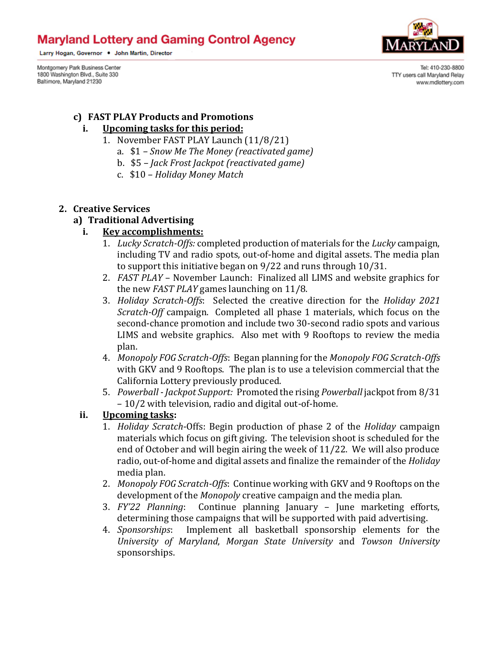# **Maryland Lottery and Gaming Control Agency**

Larry Hogan, Governor . John Martin, Director

Montgomery Park Business Center 1800 Washington Blvd., Suite 330 Baltimore, Maryland 21230



Tel: 410-230-8800 TTY users call Maryland Relay www.mdlottery.com

#### **c) FAST PLAY Products and Promotions**

### **i. Upcoming tasks for this period:**

- 1. November FAST PLAY Launch (11/8/21)
	- a. \$1 *– Snow Me The Money (reactivated game)*
	- b. \$5 *– Jack Frost Jackpot (reactivated game)*
	- c. \$10 *– Holiday Money Match*

#### **2. Creative Services**

#### **a) Traditional Advertising**

#### **i. Key accomplishments:**

- 1. *Lucky Scratch-Offs:* completed production of materials for the *Lucky* campaign, including TV and radio spots, out-of-home and digital assets. The media plan to support this initiative began on 9/22 and runs through 10/31.
- 2. *FAST PLAY* November Launch: Finalized all LIMS and website graphics for the new *FAST PLAY* games launching on 11/8.
- 3. *Holiday Scratch-Offs*: Selected the creative direction for the *Holiday 2021 Scratch-Off* campaign. Completed all phase 1 materials, which focus on the second-chance promotion and include two 30-second radio spots and various LIMS and website graphics. Also met with 9 Rooftops to review the media plan.
- 4. *Monopoly FOG Scratch-Offs*: Began planning for the *Monopoly FOG Scratch-Offs* with GKV and 9 Rooftops. The plan is to use a television commercial that the California Lottery previously produced.
- 5. *Powerball - Jackpot Support:* Promoted the rising *Powerball* jackpot from 8/31 – 10/2 with television, radio and digital out-of-home.

#### **ii. Upcoming tasks:**

- 1. *Holiday Scratch*-Offs: Begin production of phase 2 of the *Holiday* campaign materials which focus on gift giving. The television shoot is scheduled for the end of October and will begin airing the week of 11/22. We will also produce radio, out-of-home and digital assets and finalize the remainder of the *Holiday* media plan.
- 2. *Monopoly FOG Scratch-Offs*: Continue working with GKV and 9 Rooftops on the development of the *Monopoly* creative campaign and the media plan.
- 3. *FY'22 Planning*: Continue planning January June marketing efforts, determining those campaigns that will be supported with paid advertising.
- 4. *Sponsorships*: Implement all basketball sponsorship elements for the *University of Maryland*, *Morgan State University* and *Towson University*  sponsorships.